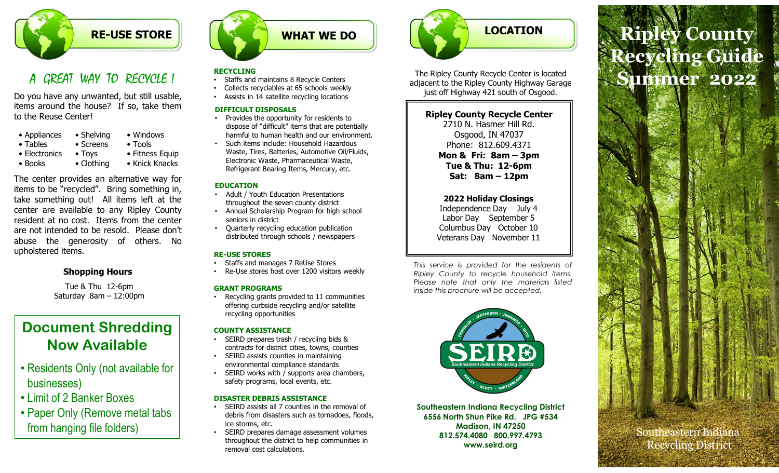

| • Appliances    | • Shelving         | • Windows           |
|-----------------|--------------------|---------------------|
| • Tables        | • Screens          | $\bullet$ Tools     |
| • Electronics   | $\bullet$ Toys     | • Fitness Eq        |
| $\bullet$ Rooks | $\bullet$ Clothing | $\bullet$ Knick Kna |

**EXECUTE STORE**<br>
A CREAT WAY TO RECVCLE !<br>
Do you have any unwanted, but still usable,<br>
tems around the house? If so, take them<br>
tems around the house? If so, take them<br>
tems around the house? If so, take them<br>
of the Reus **EXECUTE STORE**<br> **EXECUTIVE STORE**<br> **A** GREAT WAY TO RECVCLE !<br>
STORE STORE STORE STORE STORE SECURE STORE SECURE STORE SECURE STORE SECURE STORE SECURE SECURE SECURE SECURE SECURE SECURE SECURE SECURE TO A COUNTY OF PESSI **EXECUTE STORE**<br>
A GREAT WAY TO RECVCLE !<br>
Do you have any unwanted, but still usable,<br>
tiems around the house? If so, take them<br>
the Reuse Center'<br>
the Reuse Center'<br>
the Reuse Center' and the center of the center of the **EXECUTE STORE**<br> **EXECUTING**<br> **A** GREAT WAY TO RECVCLE 1<br>
Do you have any unwanted, but still usable,<br>
tended to be resolute to be resolute the buse? If so, take them<br>
to the Reuse Center!<br> **Collects recyclubles a**t 65 sch **Example the generalist School School and the generosity of others.** The same of others. No same abuse the generosity of others. No same of the generalist and manages 7 Reless the state in the generalist of other Religions A GREAT WAY TO RECVOLE !<br>
BEVICING<br>
Do you have any unwanted, but still usable,<br>
thems around the house? If so, take them<br>
thems around the house? If so, take them<br>
is collects recognations at a<br>
secrection in the state of We any unwanted, but still usable,<br>
Satistis in 14 stellite recycling locations<br>
se Center!<br>
Secretized and the house? If so, take them<br>
Satistis in 14 stellite recycling locations<br>
Secretizes the opportunity for residents

## Shopping Hours

Tue & Thu 12-6pm

# Document Shredding Now Available

- Residents Only (not available for businesses)
- Limit of 2 Banker Boxes
- Paper Only (Remove metal tabs from hanging file folders)



### **RECYCLING**

- Staffs and maintains 8 Recycle Centers
- Collects recyclables at 65 schools weekly
- Assists in 14 satellite recycling locations

#### DIFFICULT DISPOSALS

- Provides the opportunity for residents to dispose of "difficult" items that are potentially harmful to human health and our environment.
- Such items include: Household Hazardous Waste, Tires, Batteries, Automotive Oil/Fluids, **Non & Fri: 8am - 3pm** Electronic Waste, Pharmaceutical Waste, Refrigerant Bearing Items, Mercury, etc.

#### EDUCATION

- Adult / Youth Education Presentations throughout the seven county district
- Annual Scholarship Program for high school seniors in district
- Quarterly recycling education publication distributed through schools / newspapers

#### RE-USE STORES

- 
- 

• Recycling grants provided to 11 communities offering curbside recycling and/or satellite recycling opportunities

#### COUNTY ASSISTANCE

- SEIRD prepares trash / recycling bids & contracts for district cities, towns, counties
- SEIRD assists counties in maintaining environmental compliance standards
- SEIRD works with / supports area chambers, safety programs, local events, etc.

#### DISASTER DEBRIS ASSISTANCE

- SEIRD assists all 7 counties in the removal of debris from disasters such as tornadoes, floods, ice storms, etc.
- SEIRD prepares damage assessment volumes throughout the district to help communities in removal cost calculations.



The Ripley County Recycle Center is located adjacent to the Ripley County Highway Garage just off Highway 421 south of Osgood.

## Ripley County Recycle Center

2710 N. Hasmer Hill Rd. Osgood, IN 47037 Phone: 812.609.4371 Tue & Thu: 12-6pm The Ripley County Recycle Center is located<br>
Just off Highway 421 south of Osgood.<br>
Nipley County Recycle Center<br>
2710 N. Hasner Hill Rd.<br>
Osgood, J. N 47037<br>
Phone: 812.609.4371<br>
Mon & Firi. 8am – 3pm<br>
Tue & Thu: 12-6pm<br> The Ripley County Recycle Center is located<br>discent to the Ripley County Highway Garage<br>in the Highway 421 south of Osgood.<br>Ripley County Recycle Center<br>2710 N. Hasmer Hill Rd.<br>Phone: 812.609.4371<br>Mon & Fri: 8am - 3pm<br>Eat: diacent to the Ripley County Highway Garage<br>
iyust off Highway 421 south of Osgood.<br>
Ripley County Recycle Center<br>
2710 N. Hasner Hill Rd.<br>
Osgood, JN 47037<br>
Phone. 81: 88m – 3pm<br>
Tue & Thu: 12-6pm<br>
Tue & Thu: 12-6pm<br>
Sat: Figure 11<br>
Ripley County Recycle Center<br>
2710 N. Hasmer Hill Rd.<br>
Osgood, IN 47037<br>
Phone: 812.609.4371<br>
Mon & Fri: 8am – 3pm<br>
Tue & Thu: 12-6pm<br>
Sat: 8am – 12pm<br>
Sat: 8am – 12pm<br>
2022 Holiday Closings<br>
Independence Day Ju

2022 Holiday Closings Independence Day July 4 Labor Day September 5 Columbus Day October 10 Veterans Day November 11

Staffs and manages 7 ReUse Stores entity and the service is provided for the residents of Re-Use stores host over 1200 visitors weekly<br>Ripley County to recycle household items. GRANT PROGRAMS inside this brochure will be accepted.



Southeastern Indiana Recycling District 6556 North Shun Pike Rd. JPG #534 Madison, IN 47250 812.574.4080 800.997.4793 www.seird.org

# LOCATION Ripley County LOCATION<br>
Dely County Recycle Center is located<br>
to the Ripley County Highway Garage<br>
off Highway 421 south of Osgood.<br>
Ley County Recycle Center<br>
2710 N. Hasmer Hill Rd.<br>
2022<br>
Phone: 812.609.4371<br>
Mon & Fri: 8am – 3pm<br>
T LOCATION<br>
County Recycle Center is located<br>
Highway 421 south of Osgood.<br>
Highway 421 south of Osgood.<br>
Highway 421 south of Osgood.<br>
Name: 812.609.4371<br>
Osgood, IN 47037<br>
None: 812.609.4371<br>
Lue & Hu: 12-Ppm<br>
Sat: 8am – 1 Recycling Guide Summer 2022